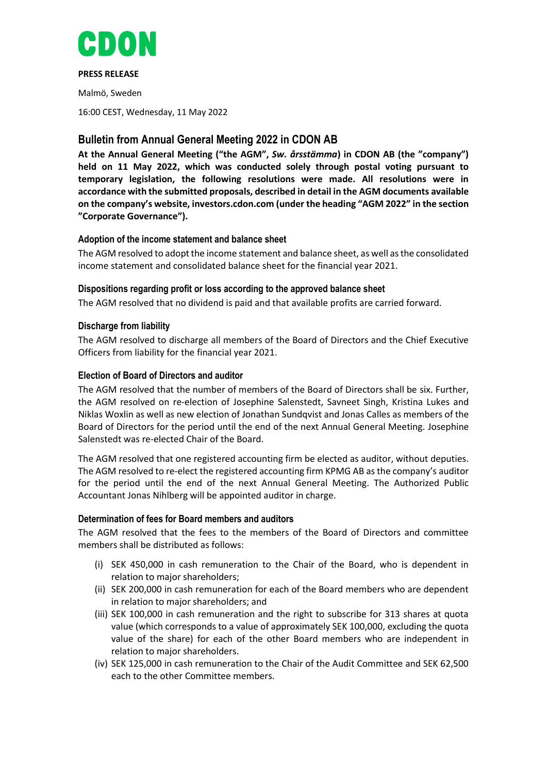

#### **PRESS RELEASE**

Malmö, Sweden

16:00 CEST, Wednesday, 11 May 2022

# **Bulletin from Annual General Meeting 2022 in CDON AB**

**At the Annual General Meeting ("the AGM",** *Sw. årsstämma***) in CDON AB (the "company") held on 11 May 2022, which was conducted solely through postal voting pursuant to temporary legislation, the following resolutions were made. All resolutions were in accordance with the submitted proposals, described in detail in the AGM documents available on the company's website, investors.cdon.com (under the heading "AGM 2022" in the section "Corporate Governance").**

# **Adoption of the income statement and balance sheet**

The AGM resolved to adopt the income statement and balance sheet, as well as the consolidated income statement and consolidated balance sheet for the financial year 2021.

# **Dispositions regarding profit or loss according to the approved balance sheet**

The AGM resolved that no dividend is paid and that available profits are carried forward.

# **Discharge from liability**

The AGM resolved to discharge all members of the Board of Directors and the Chief Executive Officers from liability for the financial year 2021.

# **Election of Board of Directors and auditor**

The AGM resolved that the number of members of the Board of Directors shall be six. Further, the AGM resolved on re-election of Josephine Salenstedt, Savneet Singh, Kristina Lukes and Niklas Woxlin as well as new election of Jonathan Sundqvist and Jonas Calles as members of the Board of Directors for the period until the end of the next Annual General Meeting. Josephine Salenstedt was re-elected Chair of the Board.

The AGM resolved that one registered accounting firm be elected as auditor, without deputies. The AGM resolved to re-elect the registered accounting firm KPMG AB as the company's auditor for the period until the end of the next Annual General Meeting. The Authorized Public Accountant Jonas Nihlberg will be appointed auditor in charge.

### **Determination of fees for Board members and auditors**

The AGM resolved that the fees to the members of the Board of Directors and committee members shall be distributed as follows:

- (i) SEK 450,000 in cash remuneration to the Chair of the Board, who is dependent in relation to major shareholders;
- (ii) SEK 200,000 in cash remuneration for each of the Board members who are dependent in relation to major shareholders; and
- (iii) SEK 100,000 in cash remuneration and the right to subscribe for 313 shares at quota value (which corresponds to a value of approximately SEK 100,000, excluding the quota value of the share) for each of the other Board members who are independent in relation to major shareholders.
- (iv) SEK 125,000 in cash remuneration to the Chair of the Audit Committee and SEK 62,500 each to the other Committee members.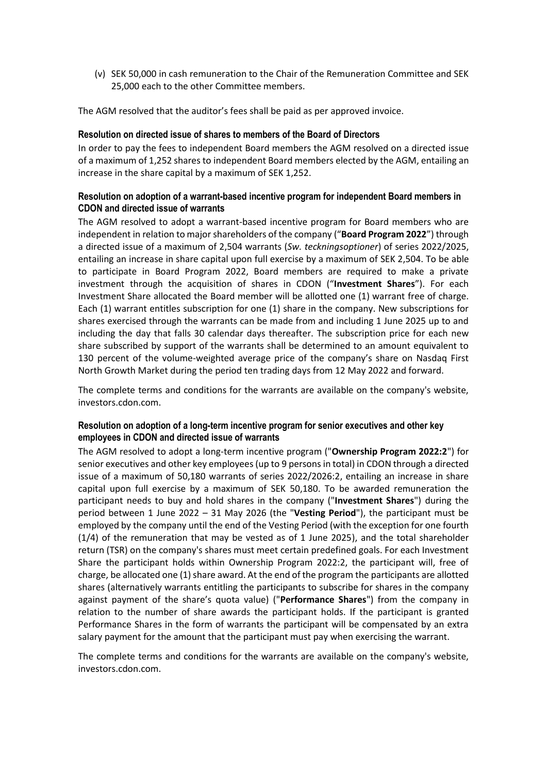(v) SEK 50,000 in cash remuneration to the Chair of the Remuneration Committee and SEK 25,000 each to the other Committee members.

The AGM resolved that the auditor's fees shall be paid as per approved invoice.

#### **Resolution on directed issue of shares to members of the Board of Directors**

In order to pay the fees to independent Board members the AGM resolved on a directed issue of a maximum of 1,252 shares to independent Board members elected by the AGM, entailing an increase in the share capital by a maximum of SEK 1,252.

#### **Resolution on adoption of a warrant-based incentive program for independent Board members in CDON and directed issue of warrants**

The AGM resolved to adopt a warrant-based incentive program for Board members who are independent in relation to major shareholders of the company ("**Board Program 2022**") through a directed issue of a maximum of 2,504 warrants (*Sw. teckningsoptioner*) of series 2022/2025, entailing an increase in share capital upon full exercise by a maximum of SEK 2,504. To be able to participate in Board Program 2022, Board members are required to make a private investment through the acquisition of shares in CDON ("**Investment Shares**"). For each Investment Share allocated the Board member will be allotted one (1) warrant free of charge. Each (1) warrant entitles subscription for one (1) share in the company. New subscriptions for shares exercised through the warrants can be made from and including 1 June 2025 up to and including the day that falls 30 calendar days thereafter. The subscription price for each new share subscribed by support of the warrants shall be determined to an amount equivalent to 130 percent of the volume-weighted average price of the company's share on Nasdaq First North Growth Market during the period ten trading days from 12 May 2022 and forward.

The complete terms and conditions for the warrants are available on the company's website, investors.cdon.com.

# **Resolution on adoption of a long-term incentive program for senior executives and other key employees in CDON and directed issue of warrants**

The AGM resolved to adopt a long-term incentive program ("**Ownership Program 2022:2**") for senior executives and other key employees(up to 9 persons in total) in CDON through a directed issue of a maximum of 50,180 warrants of series 2022/2026:2, entailing an increase in share capital upon full exercise by a maximum of SEK 50,180. To be awarded remuneration the participant needs to buy and hold shares in the company ("**Investment Shares**") during the period between 1 June 2022 – 31 May 2026 (the "**Vesting Period**"), the participant must be employed by the company until the end of the Vesting Period (with the exception for one fourth (1/4) of the remuneration that may be vested as of 1 June 2025), and the total shareholder return (TSR) on the company's shares must meet certain predefined goals. For each Investment Share the participant holds within Ownership Program 2022:2, the participant will, free of charge, be allocated one (1) share award. At the end of the program the participants are allotted shares (alternatively warrants entitling the participants to subscribe for shares in the company against payment of the share's quota value) ("**Performance Shares**") from the company in relation to the number of share awards the participant holds. If the participant is granted Performance Shares in the form of warrants the participant will be compensated by an extra salary payment for the amount that the participant must pay when exercising the warrant.

The complete terms and conditions for the warrants are available on the company's website, investors.cdon.com.